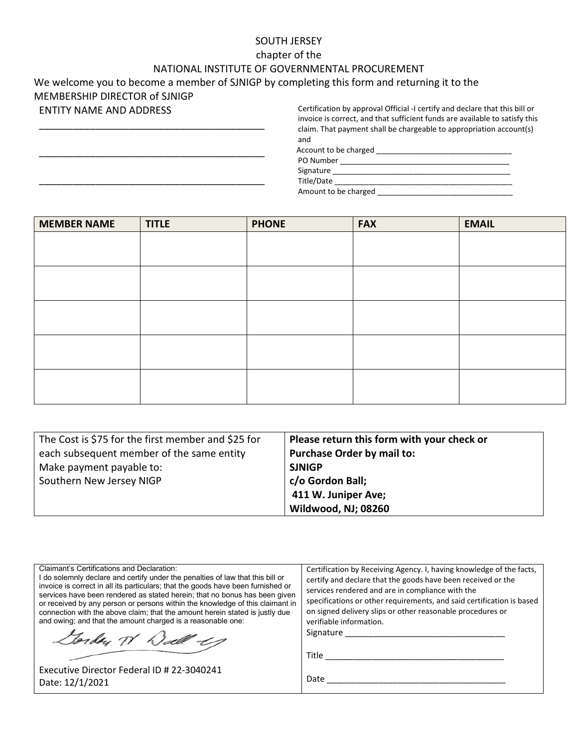#### SOUTH JERSEY

#### chapter of the

### NATIONAL INSTITUTE OF GOVERNMENTAL PROCUREMENT

## We welcome you to become a member of SJNIGP by completing this form and returning it to the

MEMBERSHIP DIRECTOR of SJNIGP ENTITY NAME AND ADDRESS

\_\_\_\_\_\_\_\_\_\_\_\_\_\_\_\_\_\_\_\_\_\_\_\_\_\_\_\_\_\_\_\_\_\_\_\_\_\_\_\_

\_\_\_\_\_\_\_\_\_\_\_\_\_\_\_\_\_\_\_\_\_\_\_\_\_\_\_\_\_\_\_\_\_\_\_\_\_\_\_\_

\_\_\_\_\_\_\_\_\_\_\_\_\_\_\_\_\_\_\_\_\_\_\_\_\_\_\_\_\_\_\_\_\_\_\_\_\_\_\_\_

Certification by approval Official -I certify and declare that this bill or invoice is correct, and that sufficient funds are available to satisfy this claim. That payment shall be chargeable to appropriation account(s) and

Account to be charged \_\_\_\_\_\_\_\_\_\_\_\_\_\_\_\_\_\_\_\_\_\_\_\_\_\_\_\_\_\_\_\_

PO Number \_\_\_\_\_\_\_\_\_\_\_\_\_\_\_\_\_\_\_\_\_\_\_\_\_\_\_\_\_\_\_\_\_\_\_\_\_\_\_\_

Signature \_\_\_\_\_\_\_\_\_\_\_\_\_\_\_\_\_\_\_\_\_\_\_\_\_\_\_\_\_\_\_\_\_\_\_\_\_\_\_\_\_\_ Title/Date \_\_\_\_\_\_\_\_\_\_\_\_\_\_\_\_\_\_\_\_\_\_\_\_\_\_\_\_\_\_\_\_\_\_\_\_\_\_\_\_\_\_ Amount to be charged \_\_\_\_\_\_\_\_\_\_\_\_\_\_\_\_\_\_\_\_\_\_\_\_\_\_\_\_\_\_\_\_

| <b>MEMBER NAME</b> | <b>TITLE</b> | <b>PHONE</b> | <b>FAX</b> | <b>EMAIL</b> |
|--------------------|--------------|--------------|------------|--------------|
|                    |              |              |            |              |
|                    |              |              |            |              |
|                    |              |              |            |              |
|                    |              |              |            |              |
|                    |              |              |            |              |
|                    |              |              |            |              |
|                    |              |              |            |              |
|                    |              |              |            |              |
|                    |              |              |            |              |
|                    |              |              |            |              |

| The Cost is \$75 for the first member and \$25 for | Please return this form with your check or |  |
|----------------------------------------------------|--------------------------------------------|--|
| each subsequent member of the same entity          | <b>Purchase Order by mail to:</b>          |  |
| Make payment payable to:                           | <b>SJNIGP</b>                              |  |
| Southern New Jersey NIGP                           | c/o Gordon Ball;                           |  |
|                                                    | 411 W. Juniper Ave;                        |  |
|                                                    | Wildwood, NJ; 08260                        |  |

| Claimant's Certifications and Declaration:<br>I do solemnly declare and certify under the penalties of law that this bill or<br>invoice is correct in all its particulars; that the goods have been furnished or<br>services have been rendered as stated herein; that no bonus has been given<br>or received by any person or persons within the knowledge of this claimant in<br>connection with the above claim; that the amount herein stated is justly due<br>and owing; and that the amount charged is a reasonable one: | Certification by Receiving Agency. I, having knowledge of the facts,<br>certify and declare that the goods have been received or the<br>services rendered and are in compliance with the<br>specifications or other requirements, and said certification is based<br>on signed delivery slips or other reasonable procedures or<br>verifiable information. |
|--------------------------------------------------------------------------------------------------------------------------------------------------------------------------------------------------------------------------------------------------------------------------------------------------------------------------------------------------------------------------------------------------------------------------------------------------------------------------------------------------------------------------------|------------------------------------------------------------------------------------------------------------------------------------------------------------------------------------------------------------------------------------------------------------------------------------------------------------------------------------------------------------|
| Gorden W Dall -19                                                                                                                                                                                                                                                                                                                                                                                                                                                                                                              | Signature _______                                                                                                                                                                                                                                                                                                                                          |
|                                                                                                                                                                                                                                                                                                                                                                                                                                                                                                                                |                                                                                                                                                                                                                                                                                                                                                            |
| Executive Director Federal ID # 22-3040241<br>Date: 12/1/2021                                                                                                                                                                                                                                                                                                                                                                                                                                                                  | Date                                                                                                                                                                                                                                                                                                                                                       |